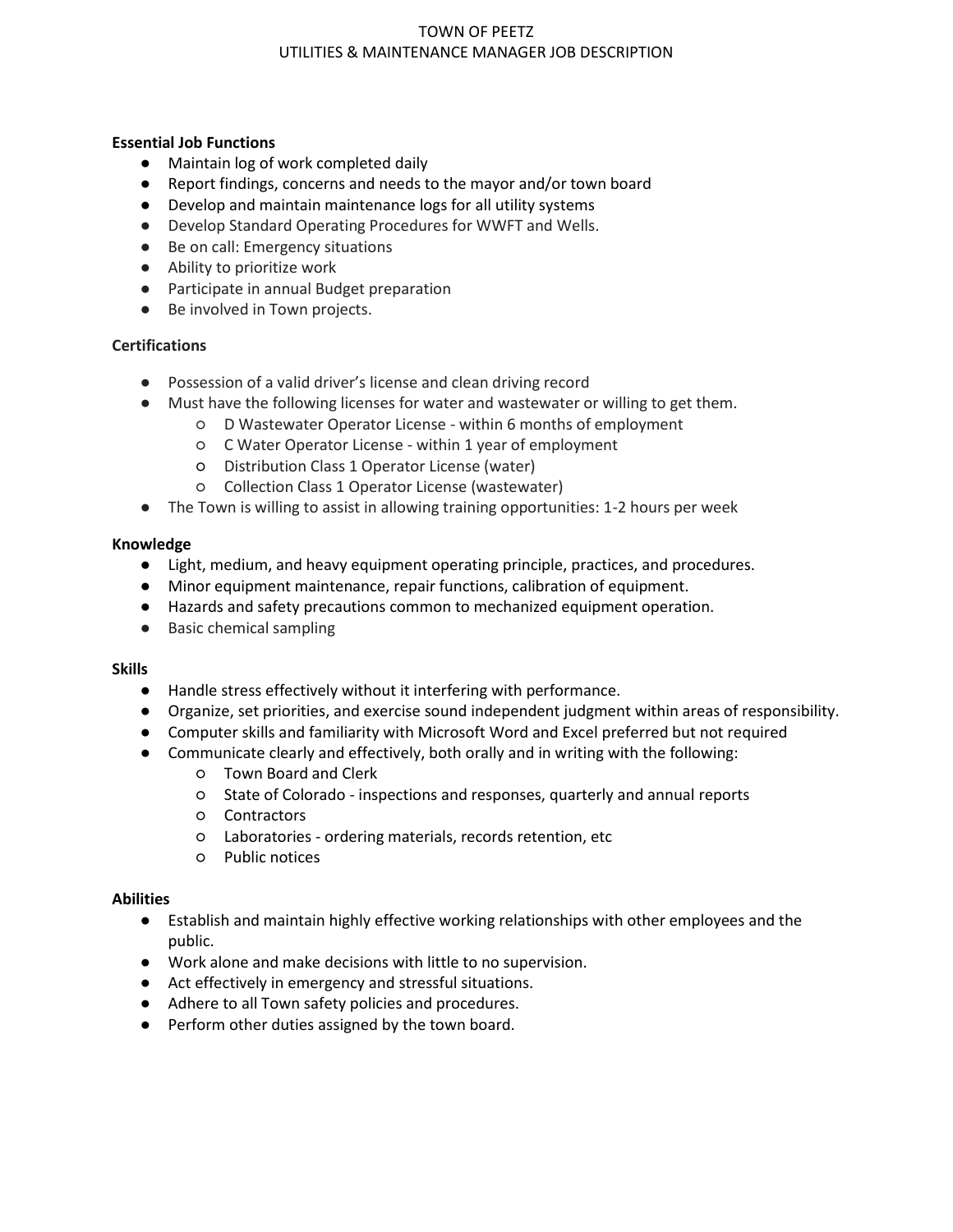# TOWN OF PEETZ UTILITIES & MAINTENANCE MANAGER JOB DESCRIPTION

## **Essential Job Functions**

- Maintain log of work completed daily
- Report findings, concerns and needs to the mayor and/or town board
- Develop and maintain maintenance logs for all utility systems
- Develop Standard Operating Procedures for WWFT and Wells.
- Be on call: Emergency situations
- Ability to prioritize work
- Participate in annual Budget preparation
- Be involved in Town projects.

## **Certifications**

- Possession of a valid driver's license and clean driving record
- Must have the following licenses for water and wastewater or willing to get them.
	- D Wastewater Operator License within 6 months of employment
	- C Water Operator License within 1 year of employment
	- Distribution Class 1 Operator License (water)
	- Collection Class 1 Operator License (wastewater)
- The Town is willing to assist in allowing training opportunities: 1-2 hours per week

## **Knowledge**

- Light, medium, and heavy equipment operating principle, practices, and procedures.
- Minor equipment maintenance, repair functions, calibration of equipment.
- Hazards and safety precautions common to mechanized equipment operation.
- Basic chemical sampling

#### **Skills**

- Handle stress effectively without it interfering with performance.
- Organize, set priorities, and exercise sound independent judgment within areas of responsibility.
- Computer skills and familiarity with Microsoft Word and Excel preferred but not required
- Communicate clearly and effectively, both orally and in writing with the following:
	- Town Board and Clerk
	- State of Colorado inspections and responses, quarterly and annual reports
	- Contractors
	- Laboratories ordering materials, records retention, etc
	- Public notices

## **Abilities**

- Establish and maintain highly effective working relationships with other employees and the public.
- Work alone and make decisions with little to no supervision.
- Act effectively in emergency and stressful situations.
- Adhere to all Town safety policies and procedures.
- Perform other duties assigned by the town board.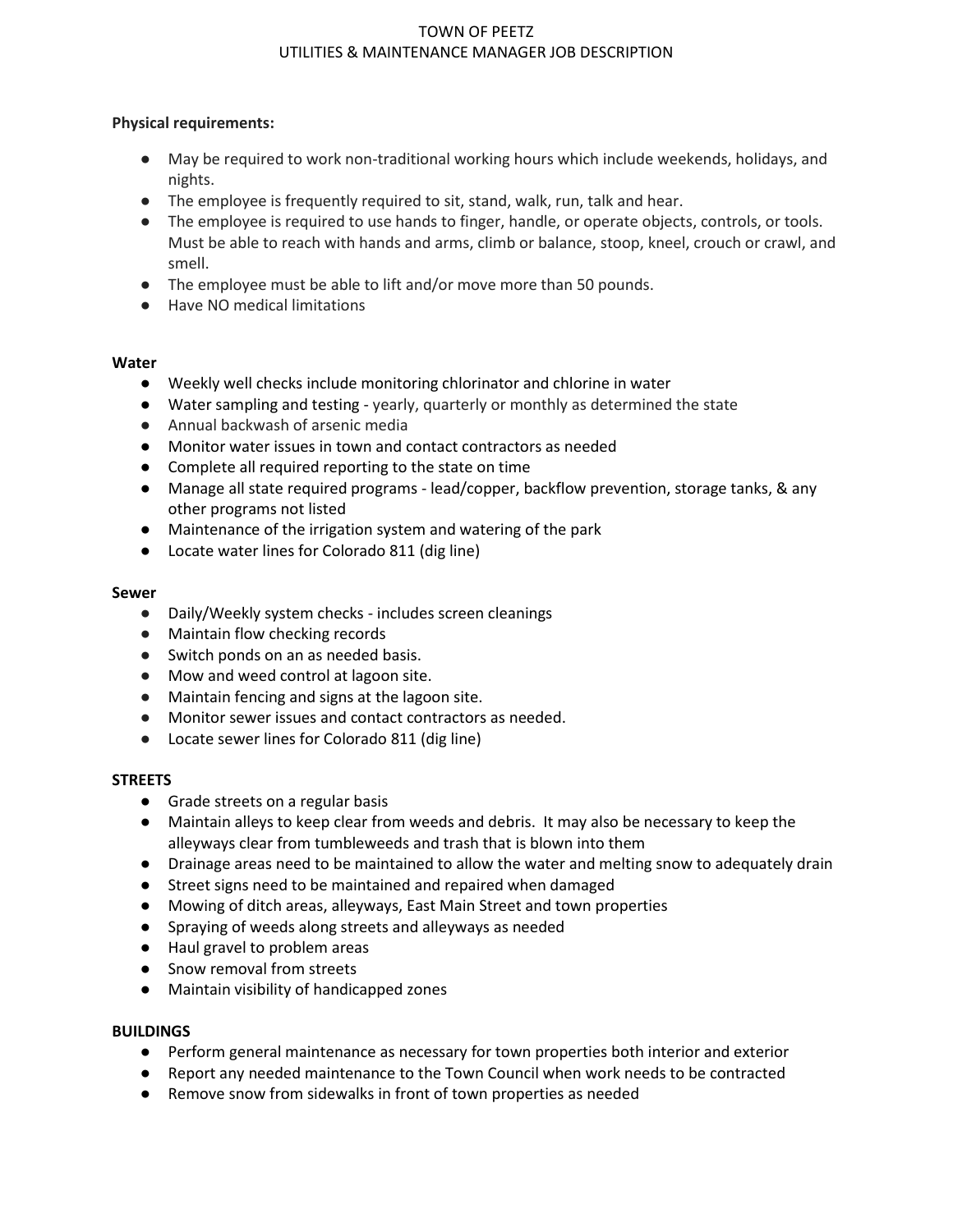# TOWN OF PEETZ UTILITIES & MAINTENANCE MANAGER JOB DESCRIPTION

## **Physical requirements:**

- May be required to work non-traditional working hours which include weekends, holidays, and nights.
- The employee is frequently required to sit, stand, walk, run, talk and hear.
- The employee is required to use hands to finger, handle, or operate objects, controls, or tools. Must be able to reach with hands and arms, climb or balance, stoop, kneel, crouch or crawl, and smell.
- The employee must be able to lift and/or move more than 50 pounds.
- Have NO medical limitations

### **Water**

- Weekly well checks include monitoring chlorinator and chlorine in water
- Water sampling and testing yearly, quarterly or monthly as determined the state
- Annual backwash of arsenic media
- Monitor water issues in town and contact contractors as needed
- Complete all required reporting to the state on time
- Manage all state required programs lead/copper, backflow prevention, storage tanks, & any other programs not listed
- Maintenance of the irrigation system and watering of the park
- Locate water lines for Colorado 811 (dig line)

#### **Sewer**

- Daily/Weekly system checks includes screen cleanings
- Maintain flow checking records
- Switch ponds on an as needed basis.
- Mow and weed control at lagoon site.
- Maintain fencing and signs at the lagoon site.
- Monitor sewer issues and contact contractors as needed.
- Locate sewer lines for Colorado 811 (dig line)

## **STREETS**

- Grade streets on a regular basis
- Maintain alleys to keep clear from weeds and debris. It may also be necessary to keep the alleyways clear from tumbleweeds and trash that is blown into them
- Drainage areas need to be maintained to allow the water and melting snow to adequately drain
- Street signs need to be maintained and repaired when damaged
- Mowing of ditch areas, alleyways, East Main Street and town properties
- Spraying of weeds along streets and alleyways as needed
- Haul gravel to problem areas
- Snow removal from streets
- Maintain visibility of handicapped zones

## **BUILDINGS**

- Perform general maintenance as necessary for town properties both interior and exterior
- Report any needed maintenance to the Town Council when work needs to be contracted
- Remove snow from sidewalks in front of town properties as needed